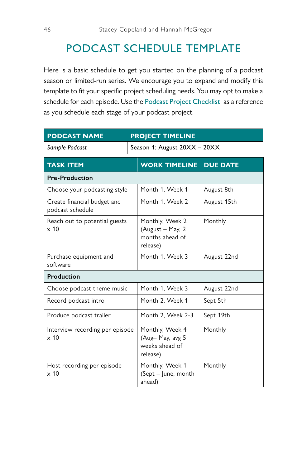## PODCAST SCHEDULE TEMPLATE

Here is a basic schedule to get you started on the planning of a podcast season or limited-run series. We encourage you to expand and modify this template to fit your specific project scheduling needs. You may opt to make a schedule for each episode. Use the Podcast Project Checklist as a reference as you schedule each stage of your podcast project.

| <b>PODCAST NAME</b><br><b>PROJECT TIMELINE</b>  |                                                                    |                 |  |
|-------------------------------------------------|--------------------------------------------------------------------|-----------------|--|
| Sample Podcast                                  | Season 1: August 20XX - 20XX                                       |                 |  |
| <b>TASK ITEM</b>                                | <b>WORK TIMELINE</b>                                               | <b>DUE DATE</b> |  |
| <b>Pre-Production</b>                           |                                                                    |                 |  |
| Choose your podcasting style                    | Month 1, Week 1                                                    | August 8th      |  |
| Create financial budget and<br>podcast schedule | Month 1, Week 2                                                    | August 15th     |  |
| Reach out to potential guests<br>$\times 10$    | Monthly, Week 2<br>(August - May, 2<br>months ahead of<br>release) | Monthly         |  |
| Purchase equipment and<br>software              | Month 1, Week 3                                                    | August 22nd     |  |
| Production                                      |                                                                    |                 |  |
| Choose podcast theme music                      | Month 1, Week 3                                                    | August 22nd     |  |
| Record podcast intro                            | Month 2, Week 1                                                    | Sept 5th        |  |
| Produce podcast trailer                         | Month 2. Week 2-3                                                  | Sept 19th       |  |
| Interview recording per episode<br>$\times 10$  | Monthly, Week 4<br>(Aug-May, avg 5<br>weeks ahead of<br>release)   | Monthly         |  |
| Host recording per episode<br>$\times 10$       | Monthly, Week 1<br>(Sept - June, month<br>ahead)                   | Monthly         |  |